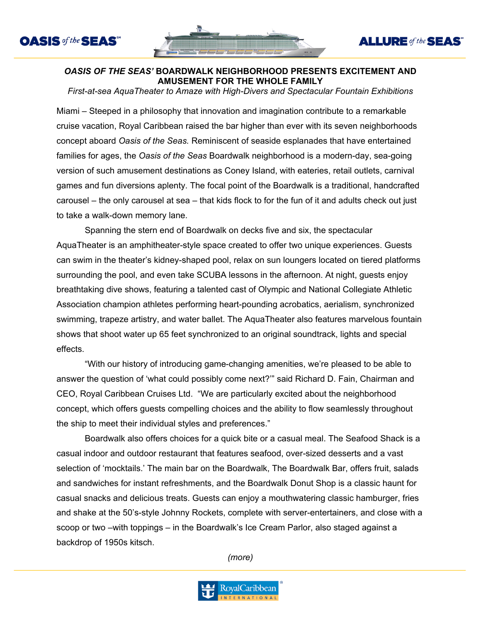



**ALLURE** of the **SEAS** 

## *OASIS OF THE SEAS'* **BOARDWALK NEIGHBORHOOD PRESENTS EXCITEMENT AND AMUSEMENT FOR THE WHOLE FAMILY**

*First-at-sea AquaTheater to Amaze with High-Divers and Spectacular Fountain Exhibitions*

Miami – Steeped in a philosophy that innovation and imagination contribute to a remarkable cruise vacation, Royal Caribbean raised the bar higher than ever with its seven neighborhoods concept aboard *Oasis of the Seas.* Reminiscent of seaside esplanades that have entertained families for ages, the *Oasis of the Seas* Boardwalk neighborhood is a modern-day, sea-going version of such amusement destinations as Coney Island, with eateries, retail outlets, carnival games and fun diversions aplenty. The focal point of the Boardwalk is a traditional, handcrafted carousel – the only carousel at sea – that kids flock to for the fun of it and adults check out just to take a walk-down memory lane.

Spanning the stern end of Boardwalk on decks five and six, the spectacular AquaTheater is an amphitheater-style space created to offer two unique experiences. Guests can swim in the theater's kidney-shaped pool, relax on sun loungers located on tiered platforms surrounding the pool, and even take SCUBA lessons in the afternoon. At night, guests enjoy breathtaking dive shows, featuring a talented cast of Olympic and National Collegiate Athletic Association champion athletes performing heart-pounding acrobatics, aerialism, synchronized swimming, trapeze artistry, and water ballet. The AquaTheater also features marvelous fountain shows that shoot water up 65 feet synchronized to an original soundtrack, lights and special effects.

"With our history of introducing game-changing amenities, we're pleased to be able to answer the question of 'what could possibly come next?'" said Richard D. Fain, Chairman and CEO, Royal Caribbean Cruises Ltd. "We are particularly excited about the neighborhood concept, which offers guests compelling choices and the ability to flow seamlessly throughout the ship to meet their individual styles and preferences."

Boardwalk also offers choices for a quick bite or a casual meal. The Seafood Shack is a casual indoor and outdoor restaurant that features seafood, over-sized desserts and a vast selection of 'mocktails.' The main bar on the Boardwalk, The Boardwalk Bar, offers fruit, salads and sandwiches for instant refreshments, and the Boardwalk Donut Shop is a classic haunt for casual snacks and delicious treats. Guests can enjoy a mouthwatering classic hamburger, fries and shake at the 50's-style Johnny Rockets, complete with server-entertainers, and close with a scoop or two –with toppings – in the Boardwalk's Ice Cream Parlor, also staged against a backdrop of 1950s kitsch.

*(more)*